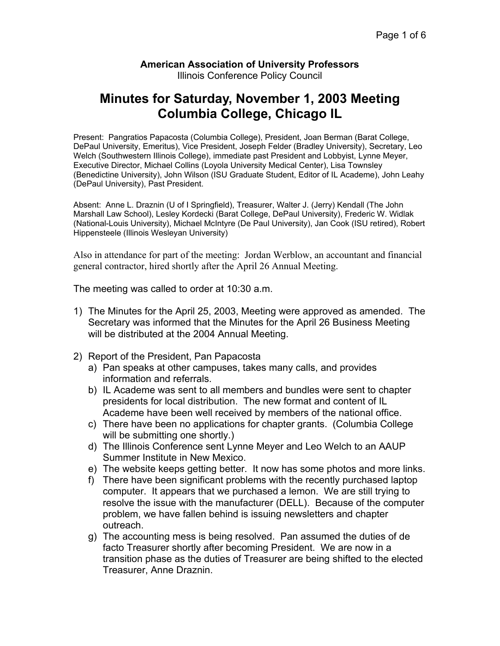## **American Association of University Professors**  Illinois Conference Policy Council

## **Minutes for Saturday, November 1, 2003 Meeting Columbia College, Chicago IL**

Present: Pangratios Papacosta (Columbia College), President, Joan Berman (Barat College, DePaul University, Emeritus), Vice President, Joseph Felder (Bradley University), Secretary, Leo Welch (Southwestern Illinois College), immediate past President and Lobbyist, Lynne Meyer, Executive Director, Michael Collins (Loyola University Medical Center), Lisa Townsley (Benedictine University), John Wilson (ISU Graduate Student, Editor of IL Academe), John Leahy (DePaul University), Past President.

Absent: Anne L. Draznin (U of I Springfield), Treasurer, Walter J. (Jerry) Kendall (The John Marshall Law School), Lesley Kordecki (Barat College, DePaul University), Frederic W. Widlak (National-Louis University), Michael McIntyre (De Paul University), Jan Cook (ISU retired), Robert Hippensteele (Illinois Wesleyan University)

Also in attendance for part of the meeting: Jordan Werblow, an accountant and financial general contractor, hired shortly after the April 26 Annual Meeting.

The meeting was called to order at 10:30 a.m.

- 1) The Minutes for the April 25, 2003, Meeting were approved as amended. The Secretary was informed that the Minutes for the April 26 Business Meeting will be distributed at the 2004 Annual Meeting.
- 2) Report of the President, Pan Papacosta
	- a) Pan speaks at other campuses, takes many calls, and provides information and referrals.
	- b) IL Academe was sent to all members and bundles were sent to chapter presidents for local distribution. The new format and content of IL Academe have been well received by members of the national office.
	- c) There have been no applications for chapter grants. (Columbia College will be submitting one shortly.)
	- d) The Illinois Conference sent Lynne Meyer and Leo Welch to an AAUP Summer Institute in New Mexico.
	- e) The website keeps getting better. It now has some photos and more links.
	- f) There have been significant problems with the recently purchased laptop computer. It appears that we purchased a lemon. We are still trying to resolve the issue with the manufacturer (DELL). Because of the computer problem, we have fallen behind is issuing newsletters and chapter outreach.
	- g) The accounting mess is being resolved. Pan assumed the duties of de facto Treasurer shortly after becoming President. We are now in a transition phase as the duties of Treasurer are being shifted to the elected Treasurer, Anne Draznin.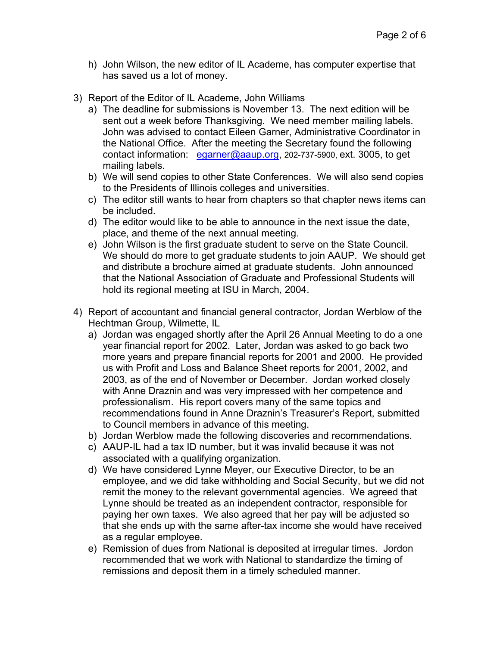- h) John Wilson, the new editor of IL Academe, has computer expertise that has saved us a lot of money.
- 3) Report of the Editor of IL Academe, John Williams
	- a) The deadline for submissions is November 13. The next edition will be sent out a week before Thanksgiving. We need member mailing labels. John was advised to contact Eileen Garner, Administrative Coordinator in the National Office. After the meeting the Secretary found the following contact information: [egarner@aaup.org,](mailto:egarner@aaup.org) 202-737-5900, ext. 3005, to get mailing labels.
	- b) We will send copies to other State Conferences. We will also send copies to the Presidents of Illinois colleges and universities.
	- c) The editor still wants to hear from chapters so that chapter news items can be included.
	- d) The editor would like to be able to announce in the next issue the date, place, and theme of the next annual meeting.
	- e) John Wilson is the first graduate student to serve on the State Council. We should do more to get graduate students to join AAUP. We should get and distribute a brochure aimed at graduate students. John announced that the National Association of Graduate and Professional Students will hold its regional meeting at ISU in March, 2004.
- 4) Report of accountant and financial general contractor, Jordan Werblow of the Hechtman Group, Wilmette, IL
	- a) Jordan was engaged shortly after the April 26 Annual Meeting to do a one year financial report for 2002. Later, Jordan was asked to go back two more years and prepare financial reports for 2001 and 2000. He provided us with Profit and Loss and Balance Sheet reports for 2001, 2002, and 2003, as of the end of November or December. Jordan worked closely with Anne Draznin and was very impressed with her competence and professionalism. His report covers many of the same topics and recommendations found in Anne Draznin's Treasurer's Report, submitted to Council members in advance of this meeting.
	- b) Jordan Werblow made the following discoveries and recommendations.
	- c) AAUP-IL had a tax ID number, but it was invalid because it was not associated with a qualifying organization.
	- d) We have considered Lynne Meyer, our Executive Director, to be an employee, and we did take withholding and Social Security, but we did not remit the money to the relevant governmental agencies. We agreed that Lynne should be treated as an independent contractor, responsible for paying her own taxes. We also agreed that her pay will be adjusted so that she ends up with the same after-tax income she would have received as a regular employee.
	- e) Remission of dues from National is deposited at irregular times. Jordon recommended that we work with National to standardize the timing of remissions and deposit them in a timely scheduled manner.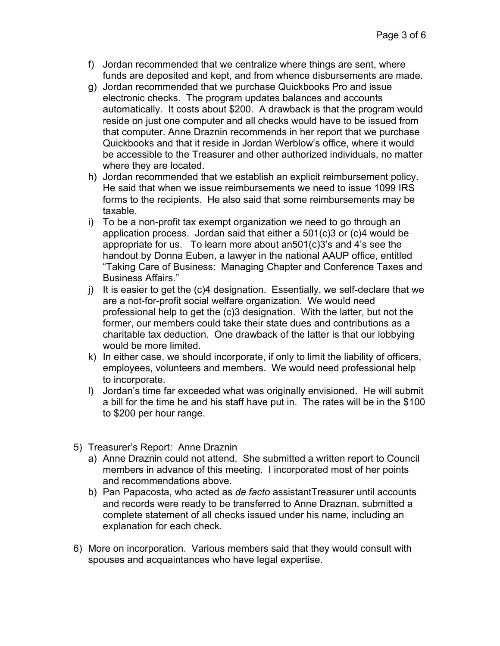- f) Jordan recommended that we centralize where things are sent, where funds are deposited and kept, and from whence disbursements are made.
- g) Jordan recommended that we purchase Quickbooks Pro and issue electronic checks. The program updates balances and accounts automatically. It costs about \$200. A drawback is that the program would reside on just one computer and all checks would have to be issued from that computer. Anne Draznin recommends in her report that we purchase Quickbooks and that it reside in Jordan Werblow's office, where it would be accessible to the Treasurer and other authorized individuals, no matter where they are located.
- h) Jordan recommended that we establish an explicit reimbursement policy. He said that when we issue reimbursements we need to issue 1099 IRS forms to the recipients. He also said that some reimbursements may be taxable.
- i) To be a non-profit tax exempt organization we need to go through an application process. Jordan said that either a 501(c)3 or (c)4 would be appropriate for us. To learn more about an501(c)3's and 4's see the handout by Donna Euben, a lawyer in the national AAUP office, entitled "Taking Care of Business: Managing Chapter and Conference Taxes and Business Affairs."
- j) It is easier to get the (c)4 designation. Essentially, we self-declare that we are a not-for-profit social welfare organization. We would need professional help to get the (c)3 designation. With the latter, but not the former, our members could take their state dues and contributions as a charitable tax deduction. One drawback of the latter is that our lobbying would be more limited.
- k) In either case, we should incorporate, if only to limit the liability of officers, employees, volunteers and members. We would need professional help to incorporate.
- l) Jordan's time far exceeded what was originally envisioned. He will submit a bill for the time he and his staff have put in. The rates will be in the \$100 to \$200 per hour range.
- 5) Treasurer's Report: Anne Draznin
	- a) Anne Draznin could not attend. She submitted a written report to Council members in advance of this meeting. I incorporated most of her points and recommendations above.
	- b) Pan Papacosta, who acted as *de facto* assistantTreasurer until accounts and records were ready to be transferred to Anne Draznan, submitted a complete statement of all checks issued under his name, including an explanation for each check.
- 6) More on incorporation. Various members said that they would consult with spouses and acquaintances who have legal expertise.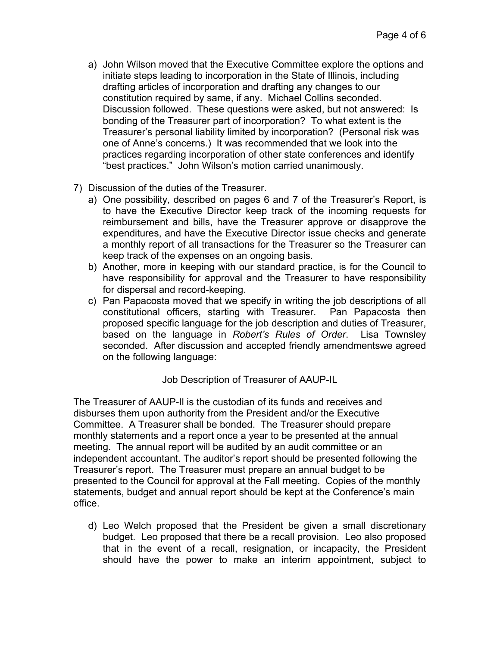- a) John Wilson moved that the Executive Committee explore the options and initiate steps leading to incorporation in the State of Illinois, including drafting articles of incorporation and drafting any changes to our constitution required by same, if any. Michael Collins seconded. Discussion followed. These questions were asked, but not answered: Is bonding of the Treasurer part of incorporation? To what extent is the Treasurer's personal liability limited by incorporation? (Personal risk was one of Anne's concerns.) It was recommended that we look into the practices regarding incorporation of other state conferences and identify "best practices." John Wilson's motion carried unanimously.
- 7) Discussion of the duties of the Treasurer.
	- a) One possibility, described on pages 6 and 7 of the Treasurer's Report, is to have the Executive Director keep track of the incoming requests for reimbursement and bills, have the Treasurer approve or disapprove the expenditures, and have the Executive Director issue checks and generate a monthly report of all transactions for the Treasurer so the Treasurer can keep track of the expenses on an ongoing basis.
	- b) Another, more in keeping with our standard practice, is for the Council to have responsibility for approval and the Treasurer to have responsibility for dispersal and record-keeping.
	- c) Pan Papacosta moved that we specify in writing the job descriptions of all constitutional officers, starting with Treasurer. Pan Papacosta then proposed specific language for the job description and duties of Treasurer, based on the language in *Robert's Rules of Order*. Lisa Townsley seconded. After discussion and accepted friendly amendmentswe agreed on the following language:

Job Description of Treasurer of AAUP-IL

The Treasurer of AAUP-Il is the custodian of its funds and receives and disburses them upon authority from the President and/or the Executive Committee. A Treasurer shall be bonded. The Treasurer should prepare monthly statements and a report once a year to be presented at the annual meeting. The annual report will be audited by an audit committee or an independent accountant. The auditor's report should be presented following the Treasurer's report. The Treasurer must prepare an annual budget to be presented to the Council for approval at the Fall meeting. Copies of the monthly statements, budget and annual report should be kept at the Conference's main office.

d) Leo Welch proposed that the President be given a small discretionary budget. Leo proposed that there be a recall provision. Leo also proposed that in the event of a recall, resignation, or incapacity, the President should have the power to make an interim appointment, subject to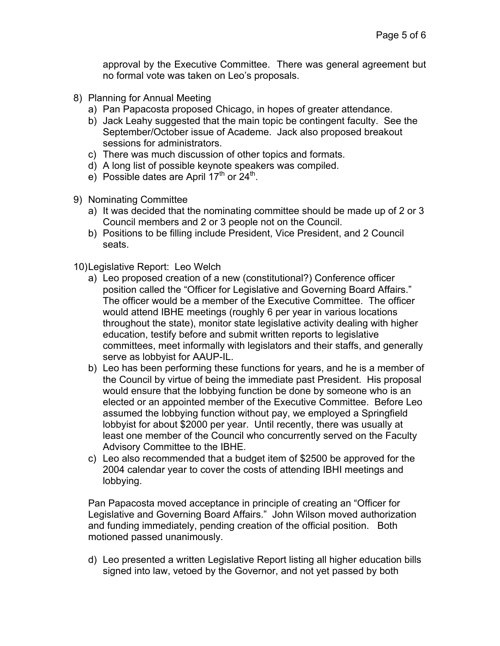approval by the Executive Committee. There was general agreement but no formal vote was taken on Leo's proposals.

- 8) Planning for Annual Meeting
	- a) Pan Papacosta proposed Chicago, in hopes of greater attendance.
	- b) Jack Leahy suggested that the main topic be contingent faculty. See the September/October issue of Academe. Jack also proposed breakout sessions for administrators.
	- c) There was much discussion of other topics and formats.
	- d) A long list of possible keynote speakers was compiled.
	- e) Possible dates are April  $17<sup>th</sup>$  or  $24<sup>th</sup>$ .
- 9) Nominating Committee
	- a) It was decided that the nominating committee should be made up of 2 or 3 Council members and 2 or 3 people not on the Council.
	- b) Positions to be filling include President, Vice President, and 2 Council seats.

10) Legislative Report: Leo Welch

- a) Leo proposed creation of a new (constitutional?) Conference officer position called the "Officer for Legislative and Governing Board Affairs." The officer would be a member of the Executive Committee. The officer would attend IBHE meetings (roughly 6 per year in various locations throughout the state), monitor state legislative activity dealing with higher education, testify before and submit written reports to legislative committees, meet informally with legislators and their staffs, and generally serve as lobbyist for AAUP-IL.
- b) Leo has been performing these functions for years, and he is a member of the Council by virtue of being the immediate past President. His proposal would ensure that the lobbying function be done by someone who is an elected or an appointed member of the Executive Committee. Before Leo assumed the lobbying function without pay, we employed a Springfield lobbyist for about \$2000 per year. Until recently, there was usually at least one member of the Council who concurrently served on the Faculty Advisory Committee to the IBHE.
- c) Leo also recommended that a budget item of \$2500 be approved for the 2004 calendar year to cover the costs of attending IBHI meetings and lobbying.

Pan Papacosta moved acceptance in principle of creating an "Officer for Legislative and Governing Board Affairs." John Wilson moved authorization and funding immediately, pending creation of the official position. Both motioned passed unanimously.

d) Leo presented a written Legislative Report listing all higher education bills signed into law, vetoed by the Governor, and not yet passed by both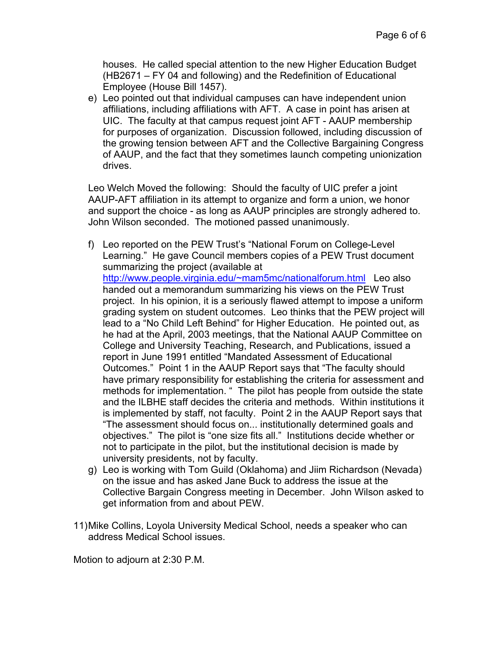houses. He called special attention to the new Higher Education Budget (HB2671 – FY 04 and following) and the Redefinition of Educational Employee (House Bill 1457).

e) Leo pointed out that individual campuses can have independent union affiliations, including affiliations with AFT. A case in point has arisen at UIC. The faculty at that campus request joint AFT - AAUP membership for purposes of organization. Discussion followed, including discussion of the growing tension between AFT and the Collective Bargaining Congress of AAUP, and the fact that they sometimes launch competing unionization drives.

Leo Welch Moved the following: Should the faculty of UIC prefer a joint AAUP-AFT affiliation in its attempt to organize and form a union, we honor and support the choice - as long as AAUP principles are strongly adhered to. John Wilson seconded. The motioned passed unanimously.

- f) Leo reported on the PEW Trust's "National Forum on College-Level Learning." He gave Council members copies of a PEW Trust document summarizing the project (available at <http://www.people.virginia.edu/~mam5mc/nationalforum.html>Leo also handed out a memorandum summarizing his views on the PEW Trust project. In his opinion, it is a seriously flawed attempt to impose a uniform grading system on student outcomes. Leo thinks that the PEW project will lead to a "No Child Left Behind" for Higher Education. He pointed out, as he had at the April, 2003 meetings, that the National AAUP Committee on College and University Teaching, Research, and Publications, issued a report in June 1991 entitled "Mandated Assessment of Educational Outcomes." Point 1 in the AAUP Report says that "The faculty should have primary responsibility for establishing the criteria for assessment and methods for implementation. " The pilot has people from outside the state and the ILBHE staff decides the criteria and methods. Within institutions it is implemented by staff, not faculty. Point 2 in the AAUP Report says that "The assessment should focus on... institutionally determined goals and objectives." The pilot is "one size fits all." Institutions decide whether or not to participate in the pilot, but the institutional decision is made by university presidents, not by faculty.
- g) Leo is working with Tom Guild (Oklahoma) and Jiim Richardson (Nevada) on the issue and has asked Jane Buck to address the issue at the Collective Bargain Congress meeting in December. John Wilson asked to get information from and about PEW.
- 11) Mike Collins, Loyola University Medical School, needs a speaker who can address Medical School issues.

Motion to adjourn at 2:30 P.M.